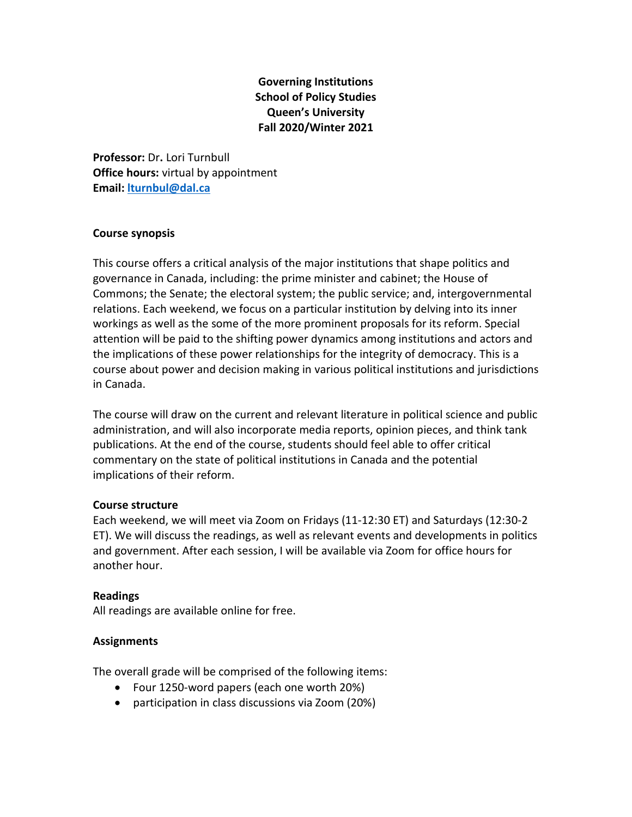# **Governing Institutions School of Policy Studies Queen's University Fall 2020/Winter 2021**

**Professor:** Dr**.** Lori Turnbull **Office hours:** virtual by appointment **Email: [lturnbul@dal.ca](mailto:lturnbul@dal.ca)**

#### **Course synopsis**

This course offers a critical analysis of the major institutions that shape politics and governance in Canada, including: the prime minister and cabinet; the House of Commons; the Senate; the electoral system; the public service; and, intergovernmental relations. Each weekend, we focus on a particular institution by delving into its inner workings as well as the some of the more prominent proposals for its reform. Special attention will be paid to the shifting power dynamics among institutions and actors and the implications of these power relationships for the integrity of democracy. This is a course about power and decision making in various political institutions and jurisdictions in Canada.

The course will draw on the current and relevant literature in political science and public administration, and will also incorporate media reports, opinion pieces, and think tank publications. At the end of the course, students should feel able to offer critical commentary on the state of political institutions in Canada and the potential implications of their reform.

#### **Course structure**

Each weekend, we will meet via Zoom on Fridays (11-12:30 ET) and Saturdays (12:30-2 ET). We will discuss the readings, as well as relevant events and developments in politics and government. After each session, I will be available via Zoom for office hours for another hour.

## **Readings**

All readings are available online for free.

## **Assignments**

The overall grade will be comprised of the following items:

- Four 1250-word papers (each one worth 20%)
- participation in class discussions via Zoom (20%)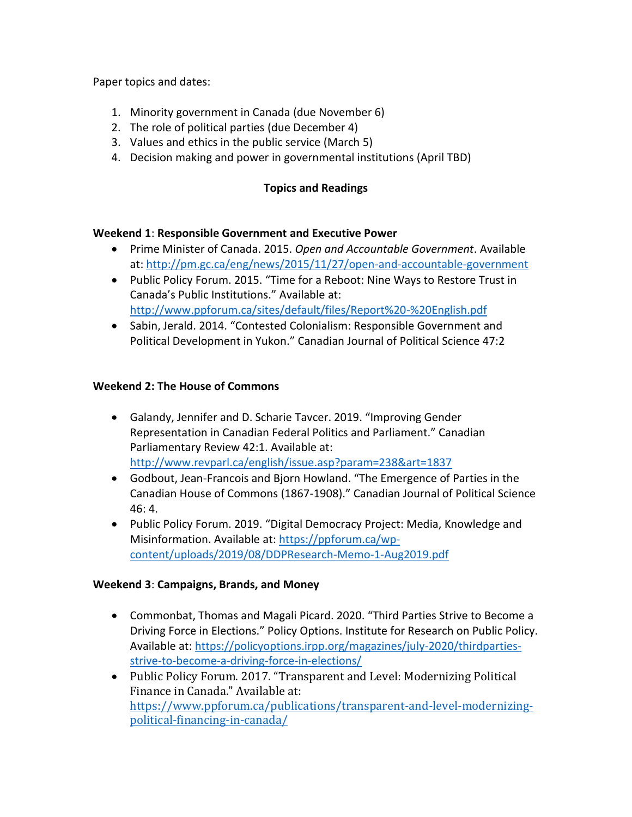Paper topics and dates:

- 1. Minority government in Canada (due November 6)
- 2. The role of political parties (due December 4)
- 3. Values and ethics in the public service (March 5)
- 4. Decision making and power in governmental institutions (April TBD)

## **Topics and Readings**

#### **Weekend 1**: **Responsible Government and Executive Power**

- Prime Minister of Canada. 2015. *Open and Accountable Government*. Available at[: http://pm.gc.ca/eng/news/2015/11/27/open-and-accountable-government](http://pm.gc.ca/eng/news/2015/11/27/open-and-accountable-government)
- Public Policy Forum. 2015. "Time for a Reboot: Nine Ways to Restore Trust in Canada's Public Institutions." Available at: <http://www.ppforum.ca/sites/default/files/Report%20-%20English.pdf>
- Sabin, Jerald. 2014. "Contested Colonialism: Responsible Government and Political Development in Yukon." Canadian Journal of Political Science 47:2

#### **Weekend 2: The House of Commons**

- Galandy, Jennifer and D. Scharie Tavcer. 2019. "Improving Gender Representation in Canadian Federal Politics and Parliament." Canadian Parliamentary Review 42:1. Available at: <http://www.revparl.ca/english/issue.asp?param=238&art=1837>
- Godbout, Jean-Francois and Bjorn Howland. "The Emergence of Parties in the Canadian House of Commons (1867-1908)." Canadian Journal of Political Science 46: 4.
- Public Policy Forum. 2019. "Digital Democracy Project: Media, Knowledge and Misinformation. Available at: [https://ppforum.ca/wp](https://ppforum.ca/wp-content/uploads/2019/08/DDPResearch-Memo-1-Aug2019.pdf)[content/uploads/2019/08/DDPResearch-Memo-1-Aug2019.pdf](https://ppforum.ca/wp-content/uploads/2019/08/DDPResearch-Memo-1-Aug2019.pdf)

## **Weekend 3**: **Campaigns, Brands, and Money**

- Commonbat, Thomas and Magali Picard. 2020. "Third Parties Strive to Become a Driving Force in Elections." Policy Options. Institute for Research on Public Policy. Available at: [https://policyoptions.irpp.org/magazines/july-2020/thirdparties](https://policyoptions.irpp.org/magazines/july-2020/thirdparties-strive-to-become-a-driving-force-in-elections/)[strive-to-become-a-driving-force-in-elections/](https://policyoptions.irpp.org/magazines/july-2020/thirdparties-strive-to-become-a-driving-force-in-elections/)
- Public Policy Forum. 2017. "Transparent and Level: Modernizing Political Finance in Canada." Available at: [https://www.ppforum.ca/publications/transparent-and-level-modernizing](https://www.ppforum.ca/publications/transparent-and-level-modernizing-political-financing-in-canada/)[political-financing-in-canada/](https://www.ppforum.ca/publications/transparent-and-level-modernizing-political-financing-in-canada/)